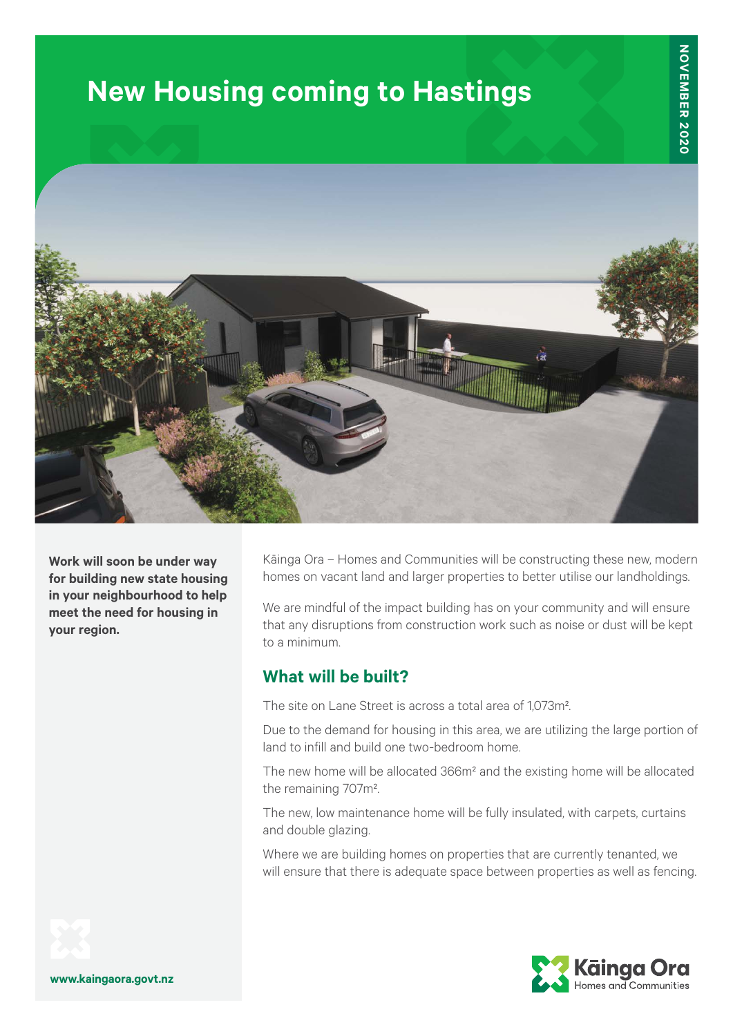# **New Housing coming to Hastings**



**Work will soon be under way for building new state housing in your neighbourhood to help meet the need for housing in your region.**

Kāinga Ora – Homes and Communities will be constructing these new, modern homes on vacant land and larger properties to better utilise our landholdings.

We are mindful of the impact building has on your community and will ensure that any disruptions from construction work such as noise or dust will be kept to a minimum.

# **What will be built?**

The site on Lane Street is across a total area of 1,073m².

Due to the demand for housing in this area, we are utilizing the large portion of land to infill and build one two-bedroom home.

The new home will be allocated 366m² and the existing home will be allocated the remaining 707m².

The new, low maintenance home will be fully insulated, with carpets, curtains and double glazing.

Where we are building homes on properties that are currently tenanted, we will ensure that there is adequate space between properties as well as fencing.



**www.kaingaora.govt.nz**